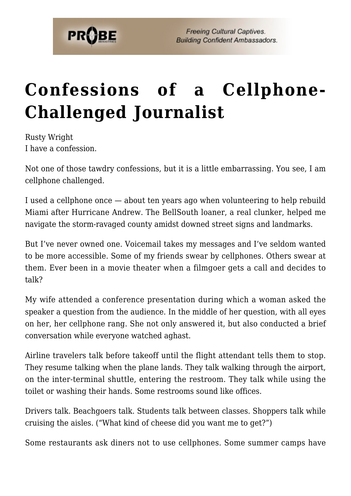

## **[Confessions of a Cellphone-](https://probe.org/confessions-of-a-cellphone-challenged-journalist/)[Challenged Journalist](https://probe.org/confessions-of-a-cellphone-challenged-journalist/)**

Rusty Wright I have a confession.

Not one of those tawdry confessions, but it is a little embarrassing. You see, I am cellphone challenged.

I used a cellphone once — about ten years ago when volunteering to help rebuild Miami after Hurricane Andrew. The BellSouth loaner, a real clunker, helped me navigate the storm-ravaged county amidst downed street signs and landmarks.

But I've never owned one. Voicemail takes my messages and I've seldom wanted to be more accessible. Some of my friends swear by cellphones. Others swear at them. Ever been in a movie theater when a filmgoer gets a call and decides to talk?

My wife attended a conference presentation during which a woman asked the speaker a question from the audience. In the middle of her question, with all eyes on her, her cellphone rang. She not only answered it, but also conducted a brief conversation while everyone watched aghast.

Airline travelers talk before takeoff until the flight attendant tells them to stop. They resume talking when the plane lands. They talk walking through the airport, on the inter-terminal shuttle, entering the restroom. They talk while using the toilet or washing their hands. Some restrooms sound like offices.

Drivers talk. Beachgoers talk. Students talk between classes. Shoppers talk while cruising the aisles. ("What kind of cheese did you want me to get?")

Some restaurants ask diners not to use cellphones. Some summer camps have